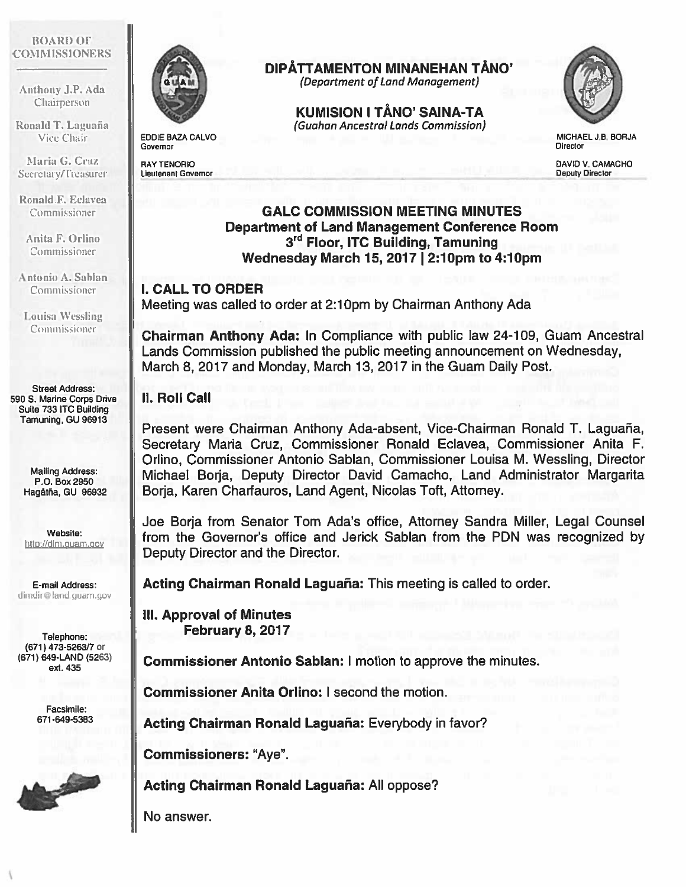#### B()ARD OF **COMMISSIONERS**

Anthony J.P. Ada Chairperson

Ronald T. Laguaña Vice Chair

Maria G. Cruz Secretary/Treasurer

Ronald F. Eclavea Commissioner

Anita F. Orilno Commissioner

Antonio A. Sablan Commissioner

Louisa Wessling Commissioner

Street Address: 590 S. Marine corps Drive Suite 733 ITC Building Tamuning, GU 96913

> Mailing Address: P.O. Box 2950 Hagátña, GU 96932

Website: http://dim.quam.qov

E-mail Address: dlmdir@land guam.gov

Telephone; (671) 473-5263/7 or (671) 649-LAND (5263) ext. 435

> Facsimile: 671-649-5383





EDDIE BAZA CALVO Governor

RAY TENORIO Lieutenant Governor

## DIPĂTTAMENTON MINANEHAN TĂNO'

(Department of Land Management)

KUMISION I TÅNO' SAINA-TA (Guahan Ancestral Lands Commission)



MICHAEL J.B. BORJA **Director** 

DAVID V. CAMACHO Deputy Director

# GALC COMMISSION MEETING MINUTES Department of Land Management Conference Room 3rd Floor, ITC Building, Tamuning Wednesday March 15, 2017 | 2:10pm to 4:10pm

### I. CALL TO ORDER

Meeting was called to order at 2:10pm by Chairman Anthony Ada

Chairman Anthony Ada: In Compliance with public law 24-109, Guam Ancestral Lands Commission published the public meeting announcement on Wednesday, March 8, 2017 and Monday, March 13, 2017 in the Guam Daily Post.

### II. Roll Call

Present were Chairman Anthony Ada-absent, Vice-Chairman Ronald T. Laguaña, Secretary Maria Cruz, Commissioner Ronald Eclavea, Commissioner Anita F. Orlino, Commissioner Antonio Sablan, Commissioner Louisa M. Wessling, Director Michael Borja, Deputy Director David Camacho, Land Administrator Margarita Borja, Karen Charfauros, Land Agent, Nicolas Toft, Attorney.

Joe Borja from Senator Tom Ada's office, Attorney Sandra Miller, Legal Counsel from the Governor's office and Jerick Sablan from the PDN was recognized by Deputy Director and the Director.

Acting Chairman Ronald Laguaña: This meeting is called to order.

Ill. Approval of Minutes February 8, 2017

Commissioner Antonio Sablan: I motion to approve the minutes.

Commissioner Anita Orlino: I second the motion.

Acting Chairman Ronald Laguaña: Everybody in favor?

Commissioners: "Aye".

Acting Chairman Ronald Laguaña: All oppose?

No answer.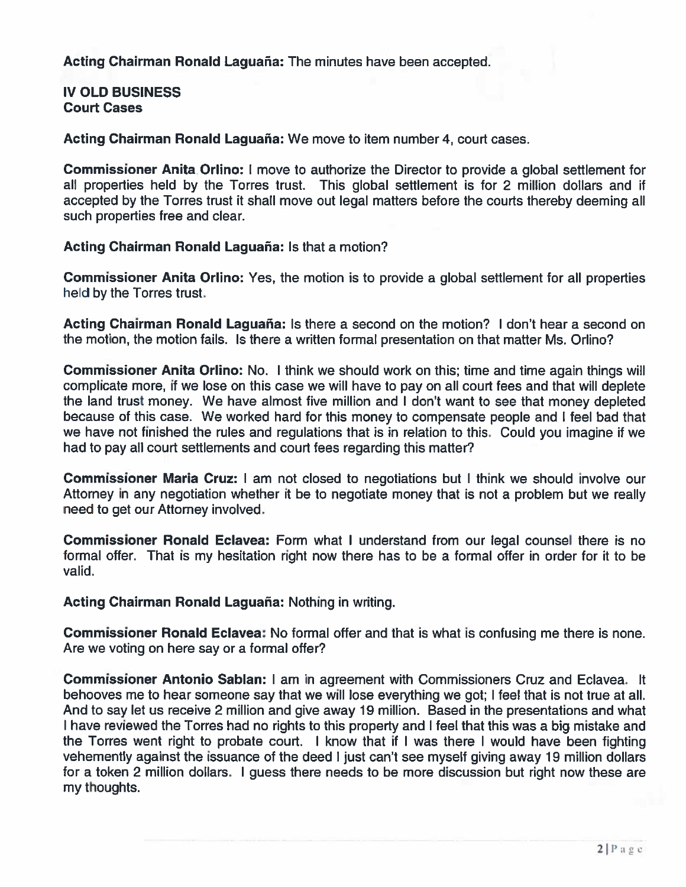Acting Chairman Ronald Laguaña: The minutes have been accepted.

#### IV OLD BUSINESS Court Cases

Acting Chairman Ronald Laguaña: We move to item number 4, court cases.

Commissioner Anita Orlino: I move to authorize the Director to provide <sup>a</sup> global settlement for all properties held by the Torres trust. This global settlement is for 2 million dollars and if accepted by the Torres trust it shall move out legal matters before the courts thereby deeming all such properties free and clear.

#### Acting Chairman Ronald Laguaña: Is that <sup>a</sup> motion?

Commissioner Anita Orlino: Yes, the motion is to provide <sup>a</sup> global settlement for all properties held by the Torres trust.

Acting Chairman Ronald Laguaña: Is there <sup>a</sup> second on the motion? I don't hear <sup>a</sup> second on the motion, the motion fails. Is there <sup>a</sup> written formal presentation on that matter Ms. Orlino?

Commissioner Anita Orlino: No. I think we should work on this; time and time again things will complicate more, if we lose on this case we will have to pay on all court fees and that will deplete the land trust money. We have almost five million and I don't want to see that money depleted because of this case. We worked hard for this money to compensate people and I feel bad that we have not finished the rules and regulations that is in relation to this. Could you imagine if we had to pay all court settlements and court fees regarding this matter?

Commissioner Maria Cruz: I am not closed to negotiations but I think we should involve our Attorney in any negotiation whether it be to negotiate money that is not <sup>a</sup> problem but we really need to ge<sup>t</sup> our Attorney involved.

Commissioner Ronald Eclavea: Form what I understand from our legal counsel there is no formal offer. That is my hesitation right now there has to be <sup>a</sup> formal offer in order for it to be valid.

Acting Chairman Ronald Laguaña: Nothing in writing.

**Commissioner Ronald Eclavea:** No formal offer and that is what is confusing me there is none Are we voting on here say or <sup>a</sup> formal offer?

Commissioner Antonio Sablan: I am in agreemen<sup>t</sup> with Commissioners Cruz and Eclavea. It behooves me to hear someone say that we will lose everything we got; I feel that is not true at all. And to say let us receive 2 million and give away 19 million. Based in the presentations and what have reviewed the Torres had no rights to this property and I feel that this was <sup>a</sup> big mistake and the Torres went right to probate court. I know that if I was there I would have been fighting vehemently against the issuance of the deed <sup>I</sup> just can't see myself giving away 19 million dollars for a token 2 million dollars. I guess there needs to be more discussion but right now these are my thoughts.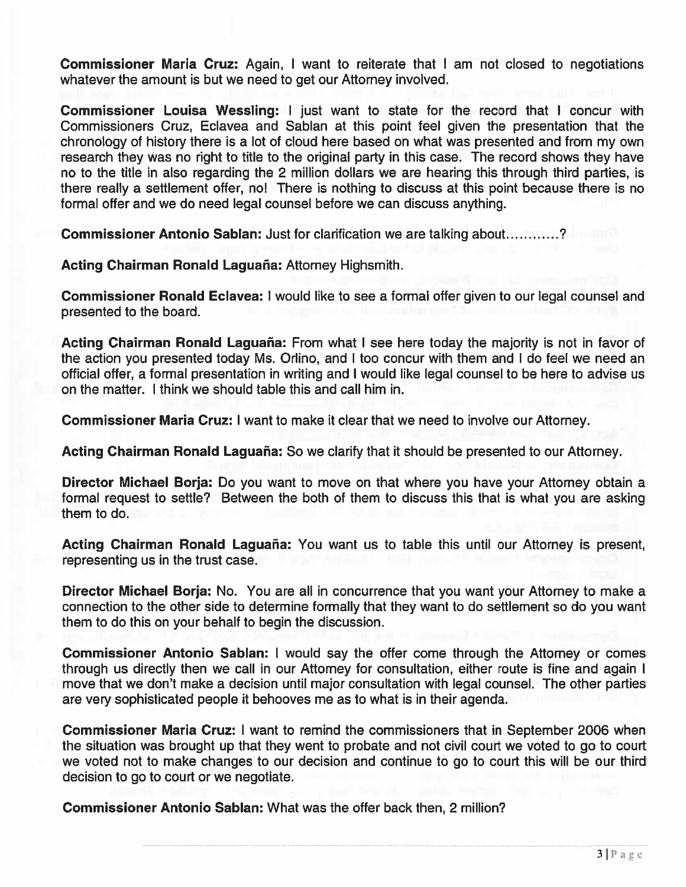Commissioner Maria Cruz: Again, I want to reiterate that I am not closed to negotiations whatever the amount is but we need to ge<sup>t</sup> our Attorney involved.

Commissioner Louisa Wessling: I just want to state for the record that I concur with Commissioners Cruz, Eclavea and Sablan at this point feel given the presentation that the chronology of history there is <sup>a</sup> lot of cloud here based on what was presented and from my own research they was no right to title to the original party in this case. The record shows they have no to the title in also regarding the 2 million dollars we are hearing this through third parties, is there really <sup>a</sup> settlement offer, no! There is nothing to discuss at this point because there is no formal offer and we do need legal counsel before we can discuss anything.

Commissioner Antonio Sablan: Just for clarification we are talking about...........?

Acting Chairman Ronald Laguaña: Attorney Highsmith.

Commissioner Ronald Eclavea: I would like to see <sup>a</sup> formal offer given to our legal counsel and presented to the board.

Acting Chairman Ronald Laguaña: From what I see here today the majority is not in favor of the action you presented today Ms. Orlino, and I too concur with them and I do feel we need an official offer, <sup>a</sup> formal presentation in writing and I would like legal counsel to be here to advise us on the matter. I think we should table this and call him in.

Commissioner Maria Cruz: I want to make it clear that we need to involve our Attorney.

Acting Chairman Ronald Laguaña: So we clarify that it should be presented to our Attorney.

Director Michael Borja: Do you want to move on that where you have your Attorney obtain <sup>a</sup> formal reques<sup>t</sup> to settle? Between the both of them to discuss this that is what you are asking them to do.

Acting Chairman Ronald Laguaña: You want us to table this until our Attorney is present, representing us in the trust case.

Director Michael Borja: No. You are all in concurrence that you want your Attorney to make <sup>a</sup> connection to the other side to determine formally that they want to do settlement so do you want them to do this on your behalf to begin the discussion.

Commissioner Antonio Sablan: I would say the offer come through the Attorney or comes through us directly then we call in our Attorney for consultation, either route is fine and again I move that we don't make <sup>a</sup> decision until major consultation with legal counsel. The other parties are very sophisticated people it behooves me as to what is in their agenda.

Commissioner Maria Cruz: I want to remind the commissioners that in September 2006 when the situation was brought up that they went to probate and not civil court we voted to go to court we voted not to make changes to our decision and continue to go to court this will be our third decision to go to court or we negotiate.

Commissioner Antonio Sablan: What was the offer back then, 2 million?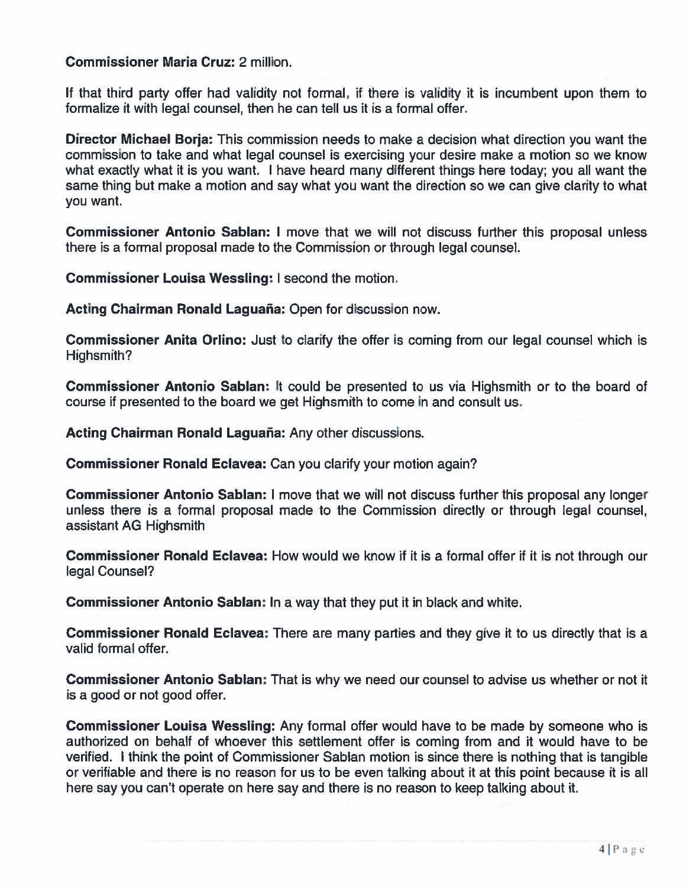#### Commissioner Maria Cruz: 2 million.

If that third party offer had validity not formal, if there is validity it is incumbent upon them to formalize it with legal counsel, then he can tell us it is <sup>a</sup> formal offer.

Director Michael Borja: This commission needs to make <sup>a</sup> decision what direction you want the commission to take and what legal counsel is exercising your desire make <sup>a</sup> motion so we know what exactly what it is you want. I have heard many different things here today; you all want the same thing but make <sup>a</sup> motion and say what you want the direction so we can give clarity to what you want.

Commissioner Antonio Sablan: I move that we will not discuss further this proposal unless there is <sup>a</sup> formal proposal made to the Commission or through legal counsel.

Commissioner Louisa Wessling: I second the motion.

Acting Chairman Ronald Laguaña: Open for discussion now.

Commissioner Anita Orlino: Just to clarify the offer is coming from our legal counsel which is Highsmith?

Commissioner Antonio Sablan: It could be presented to us via Highsmith or to the board of course if presented to the board we ge<sup>t</sup> Highsmith to come in and consult us.

Acting Chairman Ronald Laguaña: Any other discussions.

Commissioner Ronald Eclavea: Can you clarify your motion again?

Commissioner Antonio Sablan: I move that we will not discuss further this proposal any longer unless there is <sup>a</sup> formal proposal made to the Commission directly or through legal counsel, assistant AG Highsmith

Commissioner Ronald Eclavea: How would we know if it is <sup>a</sup> formal offer if it is not through our legal Counsel?

Commissioner Antonio Sablan: In <sup>a</sup> way that they pu<sup>t</sup> it in black and white.

Commissioner Ronald Eclavea: There are many parties and they give it to us directly that is a valid formal offer.

**Commissioner Antonio Sablan:** That is why we need our counsel to advise us whether or not it is a good or not good offer.

Commissioner Louisa Wessling: Any formal offer would have to be made by someone who is authorized on behalf of whoever this settlement offer is coming from and it would have to be verified. I think the point of Commissioner Sablan motion is since there is nothing that is tangible or verifiable and there is no reason for us to be even talking about it at this point because it is all here say you can't operate on here say and there is no reason to keep talking about it.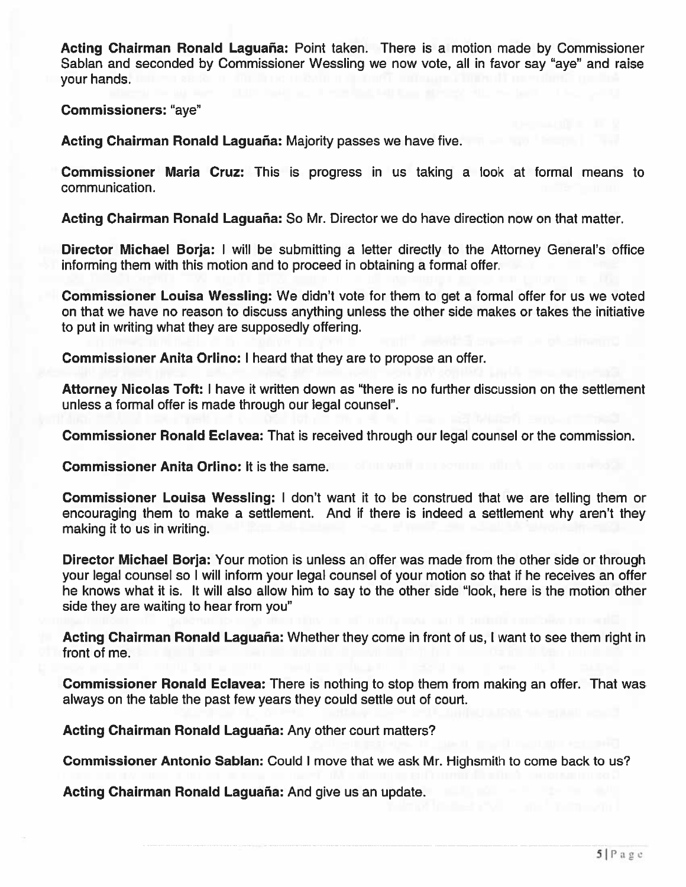Acting Chairman Ronald Laguaña: Point taken. There is <sup>a</sup> motion made by Commissioner Sablan and seconded by Commissioner Wessling we now vote, all in favor say "aye" and raise your hands.

Commissioners: "aye"

Acting Chairman Ronald Laguaña: Majority passes we have five.

Commissioner Maria Cruz: This is progress in us taking <sup>a</sup> look at formal means to communication.

Acting Chairman Ronald Laguaña: So Mr. Director we do have direction now on that matter.

Director Michael Borja: I will be submitting <sup>a</sup> letter directly to the Attorney General's office informing them with this motion and to proceed in obtaining <sup>a</sup> formal offer.

Commissioner Louisa Wessling: We didn't vote for them to ge<sup>t</sup> <sup>a</sup> formal offer for us we voted on that we have no reason to discuss anything unless the other side makes or takes the initiative to pu<sup>t</sup> in writing what they are supposedly offering.

Commissioner Anita Orlino: I heard that they are to propose an offer.

Attorney Nicolas Toft: I have it written down as "there is no further discussion on the settlement unless <sup>a</sup> formal offer is made through our legal counsel".

Commissioner Ronald Eclavea: That is received through our legal counsel or the commission.

Commissioner Anita Orlino: It is the same.

Commissioner Louisa Wessling: I don't want it to be construed that we are telling them or encouraging them to make <sup>a</sup> settlement. And if there is indeed <sup>a</sup> settlement why aren't they making it to us in writing.

Director Michael Borja: Your motion is unless an offer was made from the other side or through your legal counsel so I will inform your legal counsel of your motion so that if he receives an offer he knows what it is. It will also allow him to say to the other side "look, here is the motion other side they are waiting to hear from you"

Acting Chairman Ronald Laguaña: Whether they come in front of us, I want to see them right in front of me.

Commissioner Ronald Eclavea: There is nothing to stop them from making an offer. That was always on the table the pas<sup>t</sup> few years they could settle out of court.

Acting Chairman Ronald Laguaña: Any other court matters?

Commissioner Antonio Sablan: Could I move that we ask Mr. Highsmith to come back to us?

Acting Chairman Ronald Laguaña: And give us an update.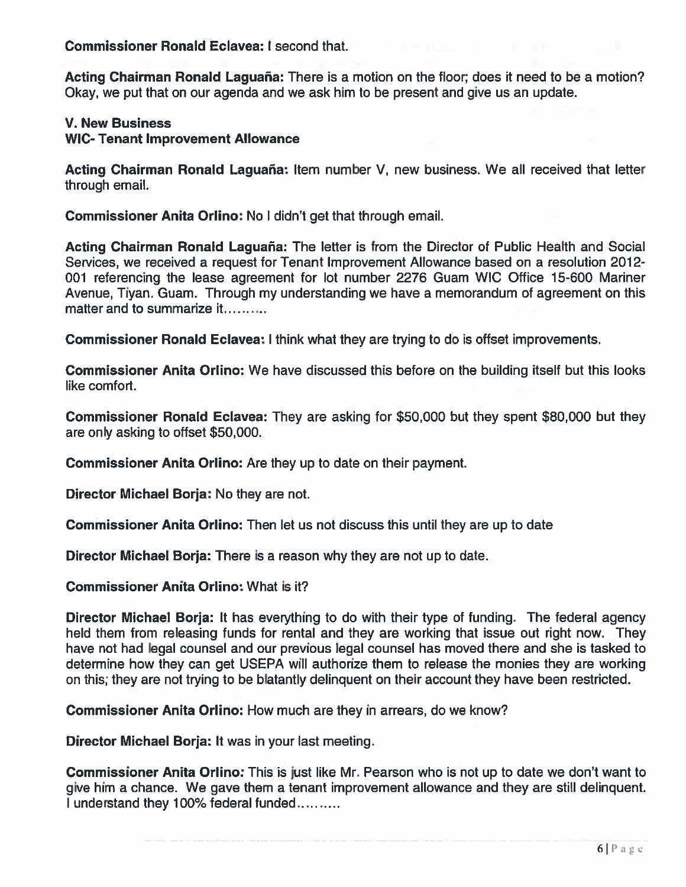Commissioner Ronald Eclavea: I second that.

Acting Chairman Ronald Laguaña: There is <sup>a</sup> motion on the floor; does it need to be <sup>a</sup> motion? Okay, we pu<sup>t</sup> that on our agenda and we ask him to be presen<sup>t</sup> and give us an update.

#### V. New Business

#### WIC- Tenant Improvement Allowance

Acting Chairman Ronald Laguaña: Item number V, new business. We all received that letter through email.

Commissioner Anita Orlino: No I didn't ge<sup>t</sup> that through email.

Acting Chairman Ronald Laguaña: The letter is from the Director of Public Health and Social Services, we received <sup>a</sup> reques<sup>t</sup> for Tenant Improvement Allowance based on <sup>a</sup> resolution 2012- 001 referencing the lease agreemen<sup>t</sup> for lot number 2276 Guam WIC Office 15-600 Mariner Avenue, Tiyan. Guam. Through my understanding we have <sup>a</sup> memorandum of agreemen<sup>t</sup> on this matter and to summarize it

**Commissioner Ronald Eclavea:** I think what they are trying to do is offset improvements

Commissioner Anita Orlino: We have discussed this before on the building itself but this looks like comfort.

Commissioner Ronald Eclavea: They are asking for \$50,000 but they spen<sup>t</sup> \$80,000 but they are only asking to offset \$50,000.

Commissioner Anita Orlino: Are they up to date on their payment.

Director Michael Borja: No they are not.

Commissioner Anita Orlino: Then let us not discuss this until they are up to date

Director Michael Borja: There is <sup>a</sup> reason why they are not up to date.

Commissioner Anita Orlino: What is it?

Director Michael Borja: It has everything to do with their type of funding. The federal agency held them from releasing funds for rental and they are working that issue out right now. They have not had legal counsel and our previous legal counsel has moved there and she is tasked to determine how they can ge<sup>t</sup> USEPA will authorize them to release the monies they are working on this; they are not trying to be blatantly delinquent on their account they have been restricted.

Commissioner Anita Orlino: How much are they in arrears, do we know?

Director Michael Borja: It was in your last meeting.

Commissioner Anita Orlino: This is just like Mr. Pearson who is not up to date we don't want to give him <sup>a</sup> chance. We gave them <sup>a</sup> tenant improvement allowance and they are still delinquent. understand they 100% federal funded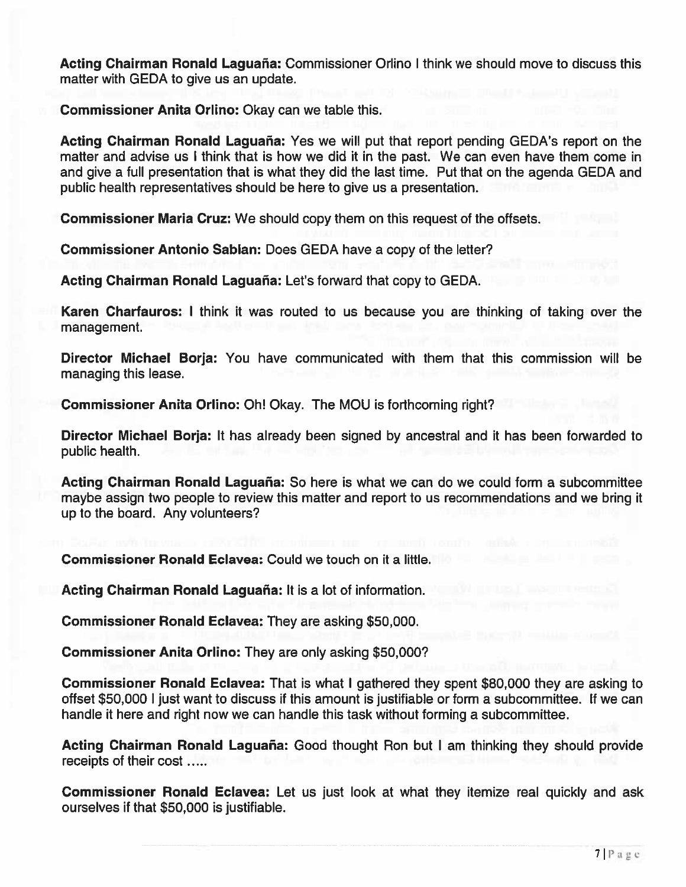Acting Chairman Ronald Laguaña: Commissioner Orlino I think we should move to discuss this matter with GEDA to give us an update.

Commissioner Anita Orlino: Okay can we table this.

Acting Chairman Ronald Laguaña: Yes we will put that report pending GEDA's report on the matter and advise us I think that is how we did it in the past. We can even have them come in and give <sup>a</sup> full presentation that is what they did the last time. Put that on the agenda GEDA and public health representatives should be here to give us <sup>a</sup> presentation.

Commissioner Maria Cruz: We should copy them on this reques<sup>t</sup> of the offsets.

Commissioner Antonio Sablan: Does GEDA have <sup>a</sup> copy of the letter?

Acting Chairman Ronald Laguaña: Let's forward that copy to GEDA.

Karen Charfauros: I think it was routed to us because you are thinking of taking over the management.

Director Michael Borja: You have communicated with them that this commission will be managing this lease.

Commissioner Anita Orlino: Oh! Okay. The MOU is forthcoming right?

Director Michael Borja: It has already been signed by ancestral and it has been forwarded to public health.

Acting Chairman Ronald Laguaña: So here is what we can do we could form <sup>a</sup> subcommittee maybe assign two people to review this matter and repor<sup>t</sup> to us recommendations and we bring it up to the board. Any volunteers?

Commissioner Ronald Eclavea: Could we touch on it <sup>a</sup> little.

Acting Chairman Ronald Laguaña: It is <sup>a</sup> lot of information.

Commissioner Ronald Eclavea: They are asking \$50,000.

Commissioner Anita Orlino: They are only asking \$50,000?

Commissioner Ronald Eclavea: That is what I gathered they spen<sup>t</sup> \$80,000 they are asking to offset \$50,000 I just want to discuss if this amount is justifiable or form <sup>a</sup> subcommittee. If we can handle it here and right now we can handle this task without forming <sup>a</sup> subcommittee.

Acting Chairman Ronald Laguaña: Good thought Ron but I am thinking they should provide receipts of their cost .....

Commissioner Ronald Eclavea: Let us just look at what they itemize real quickly and ask ourselves if that \$50,000 is justifiable.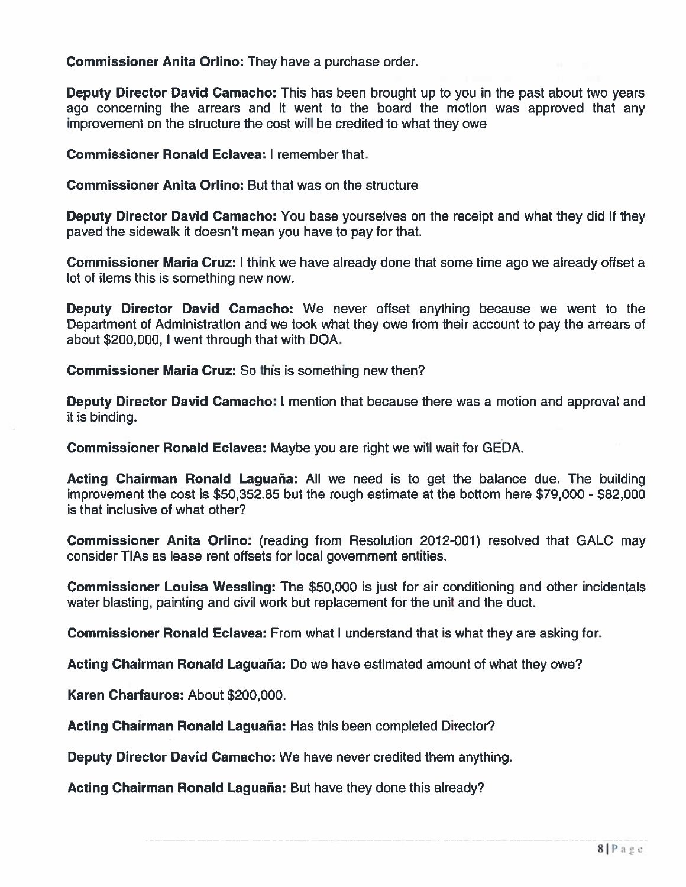Commissioner Anita Orlino: They have <sup>a</sup> purchase order.

Deputy Director David Camacho: This has been brought up to you in the past about two years ago concerning the arrears and it went to the board the motion was approved that any improvement on the structure the cost will be credited to what they owe

Commissioner Ronald Eclavea: I remember that.

Commissioner Anita Orlino: But that was on the structure

Deputy Director David Camacho: You base yourselves on the receipt and what they did if they paved the sidewalk it doesn't mean you have to pay for that.

Commissioner Maria Cruz: I think we have already done that some time ago we already offset <sup>a</sup> lot of items this is something new now.

Deputy Director David Camacho: We never offset anything because we went to the Department of Administration and we took what they owe from their account to pay the arrears of about \$200,000, I went through that with DOA.

Commissioner Maria Cruz: So this is something new then?

Deputy Director David Camacho: I mention that because there was <sup>a</sup> motion and approval and it is binding.

Commissioner Ronald Eclavea: Maybe you are right we will wait for GEDA.

Acting Chairman Ronald Laguaña: All we need is to ge<sup>t</sup> the balance due. The building improvement the cost is \$50,352.85 but the rough estimate at the bottom here \$79,000 - \$82,000 is that inclusive of what other?

Commissioner Anita Orlino: (reading from Resolution 2012-001) resolved that GALC may consider TIAs as lease rent offsets for local governmen<sup>t</sup> entities.

Commissioner Louisa Wessling: The \$50,000 is just for air conditioning and other incidentals water blasting, painting and civil work but replacement for the unit and the duct.

Commissioner Ronald Eclavea: From what I understand that is what they are asking for.

Acting Chairman Ronald Laguaña: Do we have estimated amount of what they owe?

Karen Charfauros: About \$200,000.

Acting Chairman Ronald Laguaña: Has this been completed Director?

Deputy Director David Camacho: We have never credited them anything.

Acting Chairman Ronald Laguaña: But have they done this already?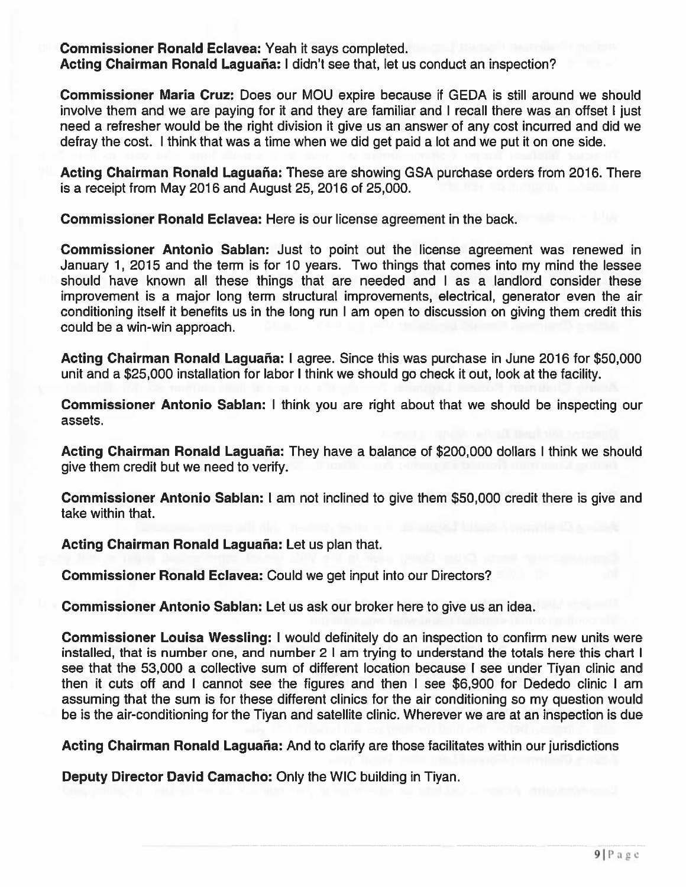Commissioner Ronald Eclavea: Yeah it says completed. Acting Chairman Ronald Laguaña: I didn't see that, let us conduct an inspection?

Commissioner Maria Cruz: Does our MOU expire because if GEDA is still around we should involve them and we are paying for it and they are familiar and I recall there was an offset I just need <sup>a</sup> refresher would be the right division it give us an answer of any cost incurred and did we defray the cost. I think that was <sup>a</sup> time when we did ge<sup>t</sup> paid <sup>a</sup> lot and we pu<sup>t</sup> it on one side.

Acting Chairman Ronald Laguaña: These are showing GSA purchase orders from 2016. There is <sup>a</sup> receipt from May 2016 and August 25, 2016 of 25,000.

Commissioner Ronald Eclavea: Here is our license agreemen<sup>t</sup> in the back.

Commissioner Antonio Sablan: Just to point out the license agreemen<sup>t</sup> was renewed in January 1, 2015 and the term is for 10 years. Two things that comes into my mind the lessee should have known all these things that are needed and I as <sup>a</sup> landlord consider these improvement is <sup>a</sup> major long term structural improvements, electrical, generator even the air conditioning itself it benefits us in the long run I am open to discussion on giving them credit this could be <sup>a</sup> win-win approach.

Acting Chairman Ronald Laguaña: I agree. Since this was purchase in June 2016 for \$50,000 unit and <sup>a</sup> \$25,000 installation for labor I think we should go check it out, look at the facility.

Commissioner Antonio Sablan: I think you are right about that we should be inspecting our assets.

Acting Chairman Ronald Laguaña: They have <sup>a</sup> balance of \$200,000 dollars I think we should give them credit but we need to verify.

Commissioner Antonio Sablan: I am not inclined to give them \$50,000 credit there is give and take within that.

Acting Chairman Ronald Laguaña: Let us plan that.

Commissioner Ronald Eclavea: Could we ge<sup>t</sup> input into our Directors?

Commissioner Antonio Sablan: Let us ask our broker here to give us an idea.

Commissioner Louisa Wessling: I would definitely do an inspection to confirm new units were installed, that is number one, and number 2 I am trying to understand the totals here this chart I see that the 53,000 <sup>a</sup> collective sum of different location because I see under Tiyan clinic and then it cuts off and I cannot see the figures and then I see \$6,900 for Dededo clinic I am assuming that the sum is for these different clinics for the air conditioning so my question would be is the air-conditioning for the Tiyan and satellite clinic. Wherever we are at an inspection is due

Acting Chairman Ronald Laguaña: And to clarify are those facilitates within our jurisdictions

Deputy Director David Camacho: Only the WIC building in Tiyan.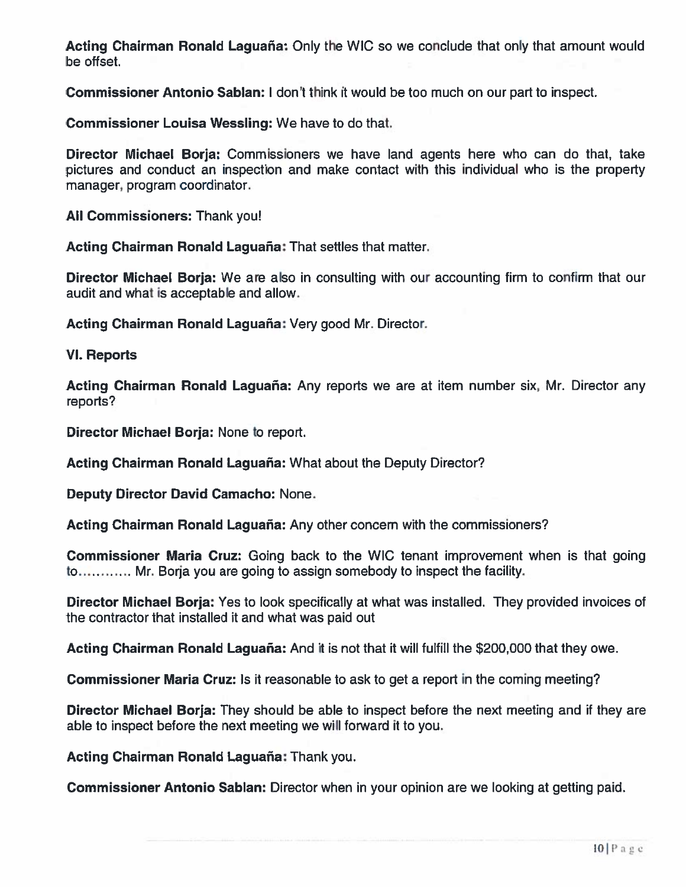Acting Chairman Ronald Laguaña: Only the WIC so we conclude that only that amount would be offset.

Commissioner Antonio Sablan: I don't think it would be too much on our par<sup>t</sup> to inspect.

Commissioner Louisa Wessling: We have to do that.

Director Michael Borja: Commissioners we have land agents here who can do that, take pictures and conduct an inspection and make contact with this individual who is the property manager, program coordinator.

**All Commissioners:** Thank you

Acting Chairman Ronald Laguaña: That settles that matter.

Director Michael Borja: We are also in consulting with our accounting firm to confirm that our audit and what is acceptable and allow.

Acting Chairman Ronald Laguaña: Very good Mr. Director.

#### VI. Reports

Acting Chairman Ronald Laguaña: Any reports we are at item number six, Mr. Director any reports?

Director Michael Borja: None to report.

Acting Chairman Ronald Laguaña: What about the Deputy Director?

Deputy Director David Camacho: None.

Acting Chairman Ronald Laguaña: Any other concem with the commissioners?

Commissioner Maria Cruz: Going back to the WIC tenant improvement when is that going to………… Mr. Borja you are going to assign somebody to inspect the facility

Director Michael Borja: Yes to look specifically at what was installed. They provided invoices of the contractor that installed it and what was paid out

Acting Chairman Ronald Laguaña: And it is not that it will fulfill the \$200,000 that they owe.

Commissioner Maria Cruz: Is it reasonable to ask to ge<sup>t</sup> <sup>a</sup> repor<sup>t</sup> in the coming meeting?

Director Michael Borja: They should be able to inspect before the next meeting and if they are able to inspect before the next meeting we will forward it to you.

Acting Chairman Ronald Laguaña: Thank you.

Commissioner Antonio Sablan: Director when in your opinion are we looking at getting paid.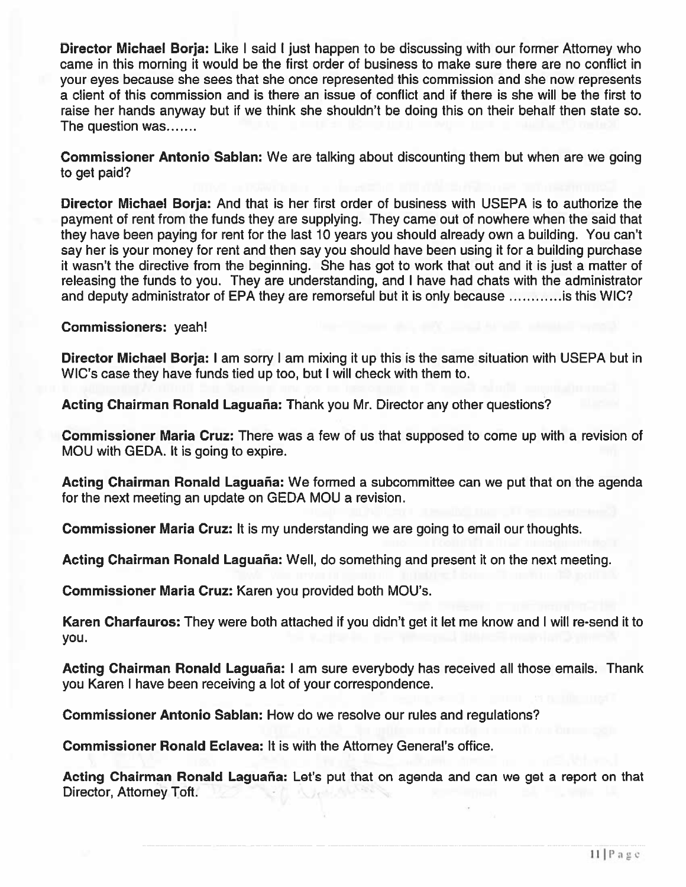Director Michael Borja: Like I said I just happen to be discussing with our former Attorney who came in this morning it would be the first order of business to make sure there are no conflict in your eyes because she sees that she once represented this commission and she now represents <sup>a</sup> client of this commission and is there an issue of conflict and if there is she will be the first to raise her hands anyway but if we think she shouldn't be doing this on their behalf then state so. The question was

Commissioner Antonio Sablan: We are talking about discounting them but when are we going to ge<sup>t</sup> paid?

Director Michael Borja: And that is her first order of business with USEPA is to authorize the paymen<sup>t</sup> of rent from the funds they are supplying. They came out of nowhere when the said that they have been paying for rent for the last 10 years you should already own <sup>a</sup> building. You can't say her is your money for rent and then say you should have been using it for <sup>a</sup> building purchase it wasn't the directive from the beginning. She has go<sup>t</sup> to work that out and it is just <sup>a</sup> matter of releasing the funds to you. They are understanding, and I have had chats with the administrator and deputy administrator of EPA they are remorseful but it is only because  $\ldots$ ......... is this WIC?

Commissioners: yeah!

Director Michael Borja: I am sorry I am mixing it up this is the same situation with USEPA but in WIC's case they have funds tied up too, but I will check with them to.

Acting Chairman Ronald Laguaña: Thank you Mr. Director any other questions?

Commissioner Maria Cruz: There was <sup>a</sup> few of us that supposed to come up with <sup>a</sup> revision of MOU with GEDA. It is going to expire.

Acting Chairman Ronald Laguaña: We formed <sup>a</sup> subcommittee can we pu<sup>t</sup> that on the agenda for the next meeting an update on GEDA MOU <sup>a</sup> revision.

Commissioner Maria Cruz: It is my understanding we are going to email our thoughts.

Acting Chairman Ronald Laguaña: Well, do something and presen<sup>t</sup> it on the next meeting.

Commissioner Maria Cruz: Karen you provided both MOU's.

Karen Charfauros: They were both attached if you didn't ge<sup>t</sup> it let me know and I will re-send it to you.

Acting Chairman Ronald Laguaña: I am sure everybody has received all those emails. Thank you Karen I have been receiving <sup>a</sup> lot of your correspondence.

Commissioner Antonio Sablan: How do we resolve our rules and regulations?

Commissioner Ronald Eclavea: It is with the Attorney General's office.

Acting Chairman Ronald Laguaña: Let's put that on agenda and can we get a report on that Director, Attorney Toft.